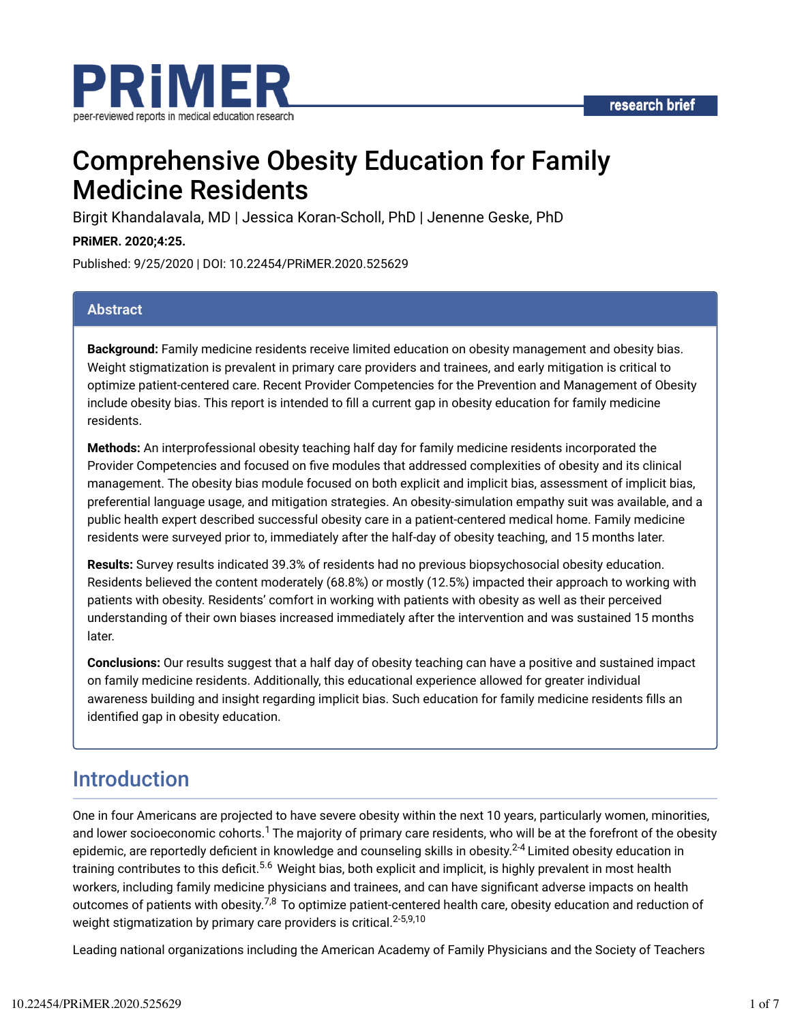



# Comprehensive Obesity Education for Family Medicine Residents

Birgit Khandalavala, MD | Jessica Koran-Scholl, PhD | Jenenne Geske, PhD

**PRiMER. 2020;4:25.**

Published: 9/25/2020 | DOI: 10.22454/PRiMER.2020.525629

#### **Abstract**

**Background:** Family medicine residents receive limited education on obesity management and obesity bias. Weight stigmatization is prevalent in primary care providers and trainees, and early mitigation is critical to optimize patient-centered care. Recent Provider Competencies for the Prevention and Management of Obesity include obesity bias. This report is intended to fill a current gap in obesity education for family medicine residents.

**Methods:** An interprofessional obesity teaching half day for family medicine residents incorporated the Provider Competencies and focused on five modules that addressed complexities of obesity and its clinical management. The obesity bias module focused on both explicit and implicit bias, assessment of implicit bias, preferential language usage, and mitigation strategies. An obesity-simulation empathy suit was available, and a public health expert described successful obesity care in a patient-centered medical home. Family medicine residents were surveyed prior to, immediately after the half-day of obesity teaching, and 15 months later.

**Results:** Survey results indicated 39.3% of residents had no previous biopsychosocial obesity education. Residents believed the content moderately (68.8%) or mostly (12.5%) impacted their approach to working with patients with obesity. Residents' comfort in working with patients with obesity as well as their perceived understanding of their own biases increased immediately after the intervention and was sustained 15 months later.

**Conclusions:** Our results suggest that a half day of obesity teaching can have a positive and sustained impact on family medicine residents. Additionally, this educational experience allowed for greater individual awareness building and insight regarding implicit bias. Such education for family medicine residents fills an identified gap in obesity education.

### Introduction

One in four Americans are projected to have severe obesity within the next 10 years, particularly women, minorities, and lower socioeconomic cohorts. $^1$  The majority of primary care residents, who will be at the forefront of the obesity epidemic, are reportedly deficient in knowledge and counseling skills in obesity.<sup>2-4</sup> Limited obesity education in training contributes to this deficit.<sup>5.6</sup> Weight bias, both explicit and implicit, is highly prevalent in most health workers, including family medicine physicians and trainees, and can have significant adverse impacts on health outcomes of patients with obesity. $^{7,8}$  To optimize patient-centered health care, obesity education and reduction of weight stigmatization by primary care providers is critical.<sup>2-5,9,10</sup>

Leading national organizations including the American Academy of Family Physicians and the Society of Teachers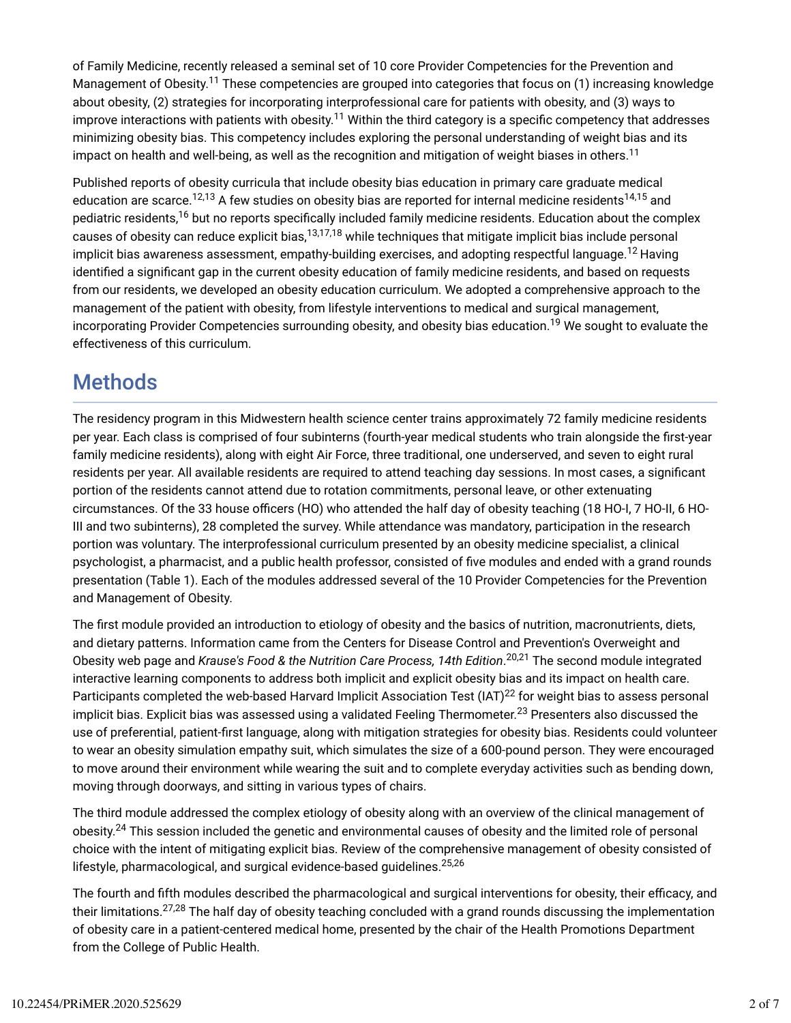of Family Medicine, recently released a seminal set of 10 core Provider Competencies for the Prevention and Management of Obesity.<sup>11</sup> These competencies are grouped into categories that focus on (1) increasing knowledge about obesity, (2) strategies for incorporating interprofessional care for patients with obesity, and (3) ways to improve interactions with patients with obesity.<sup>11</sup> Within the third category is a specific competency that addresses minimizing obesity bias. This competency includes exploring the personal understanding of weight bias and its impact on health and well-being, as well as the recognition and mitigation of weight biases in others. $^{11}$ 

Published reports of obesity curricula that include obesity bias education in primary care graduate medical education are scarce.<sup>12,13</sup> A few studies on obesity bias are reported for internal medicine residents<sup>14,15</sup> and pediatric residents,<sup>16</sup> but no reports specifically included family medicine residents. Education about the complex causes of obesity can reduce explicit bias,<sup>13,17,18</sup> while techniques that mitigate implicit bias include personal implicit bias awareness assessment, empathy-building exercises, and adopting respectful language.<sup>12</sup> Having identified a significant gap in the current obesity education of family medicine residents, and based on requests from our residents, we developed an obesity education curriculum. We adopted a comprehensive approach to the management of the patient with obesity, from lifestyle interventions to medical and surgical management, incorporating Provider Competencies surrounding obesity, and obesity bias education.<sup>19</sup> We sought to evaluate the effectiveness of this curriculum.

## **Methods**

The residency program in this Midwestern health science center trains approximately 72 family medicine residents per year. Each class is comprised of four subinterns (fourth-year medical students who train alongside the first-year family medicine residents), along with eight Air Force, three traditional, one underserved, and seven to eight rural residents per year. All available residents are required to attend teaching day sessions. In most cases, a significant portion of the residents cannot attend due to rotation commitments, personal leave, or other extenuating circumstances. Of the 33 house officers (HO) who attended the half day of obesity teaching (18 HO-I, 7 HO-II, 6 HO-III and two subinterns), 28 completed the survey. While attendance was mandatory, participation in the research portion was voluntary. The interprofessional curriculum presented by an obesity medicine specialist, a clinical psychologist, a pharmacist, and a public health professor, consisted of five modules and ended with a grand rounds presentation (Table 1). Each of the modules addressed several of the 10 Provider Competencies for the Prevention and Management of Obesity.

The first module provided an introduction to etiology of obesity and the basics of nutrition, macronutrients, diets, and dietary patterns. Information came from the Centers for Disease Control and Prevention's Overweight and Obesity web page and *Krause's Food & the Nutrition Care Process, 14th Edition.<sup>20,21</sup> The second module integrated* interactive learning components to address both implicit and explicit obesity bias and its impact on health care. Participants completed the web-based Harvard Implicit Association Test (IAT) $^{22}$  for weight bias to assess personal implicit bias. Explicit bias was assessed using a validated Feeling Thermometer. $^{23}$  Presenters also discussed the use of preferential, patient-first language, along with mitigation strategies for obesity bias. Residents could volunteer to wear an obesity simulation empathy suit, which simulates the size of a 600-pound person. They were encouraged to move around their environment while wearing the suit and to complete everyday activities such as bending down, moving through doorways, and sitting in various types of chairs.

The third module addressed the complex etiology of obesity along with an overview of the clinical management of obesity.<sup>24</sup> This session included the genetic and environmental causes of obesity and the limited role of personal choice with the intent of mitigating explicit bias. Review of the comprehensive management of obesity consisted of lifestyle, pharmacological, and surgical evidence-based guidelines.<sup>25,26</sup>

The fourth and fifth modules described the pharmacological and surgical interventions for obesity, their efficacy, and their limitations.<sup>27,28</sup> The half day of obesity teaching concluded with a grand rounds discussing the implementation of obesity care in a patient-centered medical home, presented by the chair of the Health Promotions Department from the College of Public Health.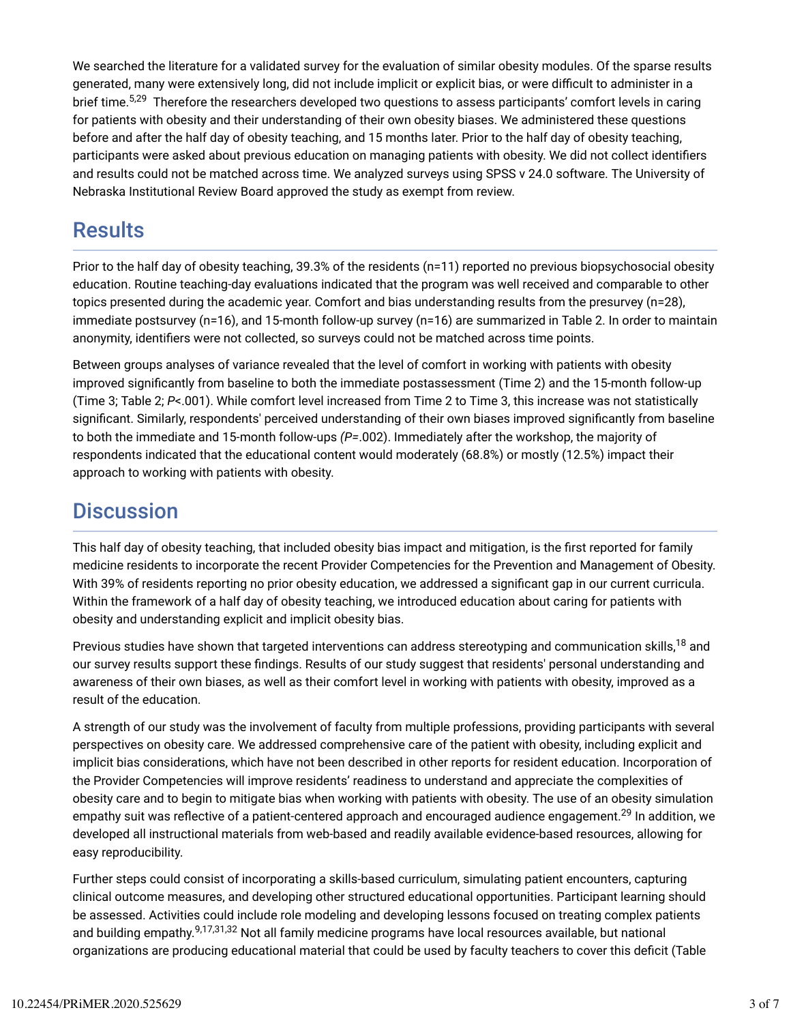We searched the literature for a validated survey for the evaluation of similar obesity modules. Of the sparse results generated, many were extensively long, did not include implicit or explicit bias, or were difficult to administer in a brief time.<sup>5,29</sup> Therefore the researchers developed two questions to assess participants' comfort levels in caring for patients with obesity and their understanding of their own obesity biases. We administered these questions before and after the half day of obesity teaching, and 15 months later. Prior to the half day of obesity teaching, participants were asked about previous education on managing patients with obesity. We did not collect identifiers and results could not be matched across time. We analyzed surveys using SPSS v 24.0 software. The University of Nebraska Institutional Review Board approved the study as exempt from review.

### **Results**

Prior to the half day of obesity teaching, 39.3% of the residents (n=11) reported no previous biopsychosocial obesity education. Routine teaching-day evaluations indicated that the program was well received and comparable to other topics presented during the academic year. Comfort and bias understanding results from the presurvey (n=28), immediate postsurvey (n=16), and 15-month follow-up survey (n=16) are summarized in Table 2. In order to maintain anonymity, identifiers were not collected, so surveys could not be matched across time points.

Between groups analyses of variance revealed that the level of comfort in working with patients with obesity improved significantly from baseline to both the immediate postassessment (Time 2) and the 15-month follow-up (Time 3; Table 2; *P*<.001). While comfort level increased from Time 2 to Time 3, this increase was not statistically significant. Similarly, respondents' perceived understanding of their own biases improved significantly from baseline to both the immediate and 15-month follow-ups *(P=*.002). Immediately after the workshop, the majority of respondents indicated that the educational content would moderately (68.8%) or mostly (12.5%) impact their approach to working with patients with obesity.

### **Discussion**

This half day of obesity teaching, that included obesity bias impact and mitigation, is the first reported for family medicine residents to incorporate the recent Provider Competencies for the Prevention and Management of Obesity. With 39% of residents reporting no prior obesity education, we addressed a significant gap in our current curricula. Within the framework of a half day of obesity teaching, we introduced education about caring for patients with obesity and understanding explicit and implicit obesity bias.

Previous studies have shown that targeted interventions can address stereotyping and communication skills,<sup>18</sup> and our survey results support these findings. Results of our study suggest that residents' personal understanding and awareness of their own biases, as well as their comfort level in working with patients with obesity, improved as a result of the education.

A strength of our study was the involvement of faculty from multiple professions, providing participants with several perspectives on obesity care. We addressed comprehensive care of the patient with obesity, including explicit and implicit bias considerations, which have not been described in other reports for resident education. Incorporation of the Provider Competencies will improve residents' readiness to understand and appreciate the complexities of obesity care and to begin to mitigate bias when working with patients with obesity. The use of an obesity simulation empathy suit was reflective of a patient-centered approach and encouraged audience engagement.<sup>29</sup> In addition, we developed all instructional materials from web-based and readily available evidence-based resources, allowing for easy reproducibility.

Further steps could consist of incorporating a skills-based curriculum, simulating patient encounters, capturing clinical outcome measures, and developing other structured educational opportunities. Participant learning should be assessed. Activities could include role modeling and developing lessons focused on treating complex patients and building empathy.<sup>9,17,31,32</sup> Not all family medicine programs have local resources available, but national organizations are producing educational material that could be used by faculty teachers to cover this deficit (Table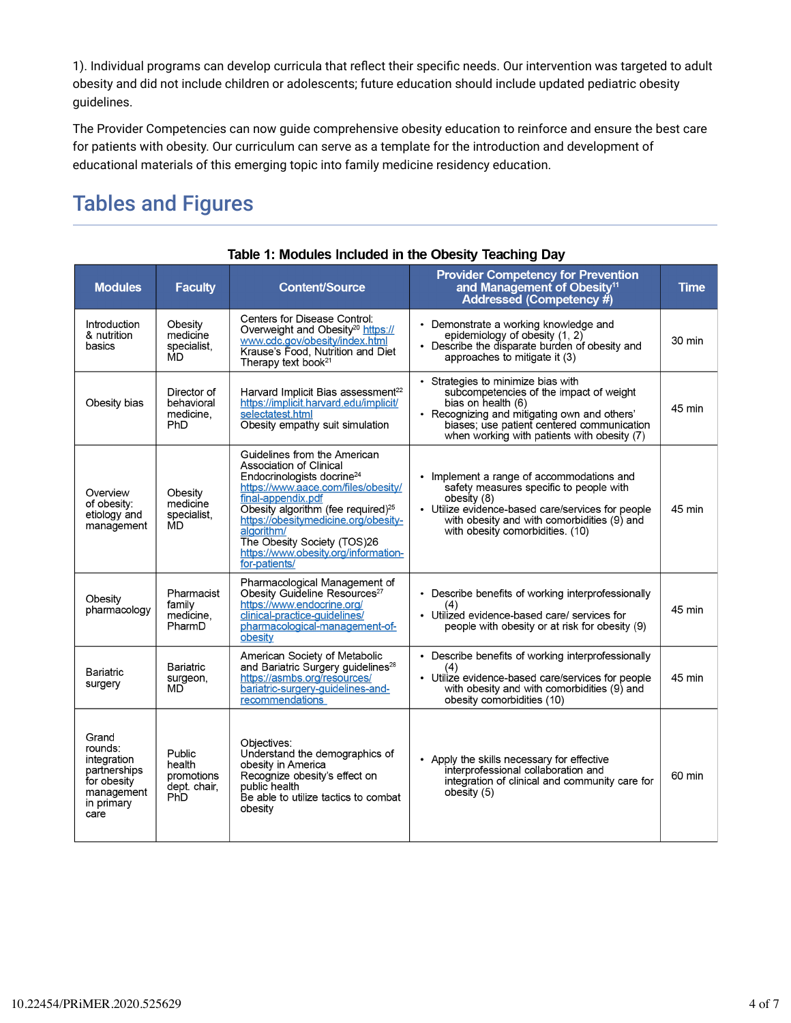1). Individual programs can develop curricula that reflect their specific needs. Our intervention was targeted to adult obesity and did not include children or adolescents; future education should include updated pediatric obesity guidelines.

The Provider Competencies can now guide comprehensive obesity education to reinforce and ensure the best care for patients with obesity. Our curriculum can serve as a template for the introduction and development of educational materials of this emerging topic into family medicine residency education.

## Tables and Figures

| adaan in ing Oboony Todoning Day                                                                   |                                                       |                                                                                                                                                                                                                                                                                                                                                                |                                                                                                                                                                                                                                                  |        |  |  |  |
|----------------------------------------------------------------------------------------------------|-------------------------------------------------------|----------------------------------------------------------------------------------------------------------------------------------------------------------------------------------------------------------------------------------------------------------------------------------------------------------------------------------------------------------------|--------------------------------------------------------------------------------------------------------------------------------------------------------------------------------------------------------------------------------------------------|--------|--|--|--|
| <b>Modules</b>                                                                                     | <b>Faculty</b>                                        | <b>Content/Source</b>                                                                                                                                                                                                                                                                                                                                          | <b>Provider Competency for Prevention</b><br>and Management of Obesity <sup>11</sup><br>Addressed (Competency $#$ )                                                                                                                              | Time   |  |  |  |
| Introduction<br>& nutrition<br>basics                                                              | Obesity<br>medicine<br>specialist.<br>MD              | Centers for Disease Control:<br>Overweight and Obesity <sup>20</sup> https://<br>www.cdc.gov/obesity/index.html<br>Krause's Food, Nutrition and Diet<br>Therapy text book <sup>21</sup>                                                                                                                                                                        | • Demonstrate a working knowledge and<br>epidemiology of obesity (1, 2)<br>• Describe the disparate burden of obesity and<br>approaches to mitigate it (3)                                                                                       | 30 min |  |  |  |
| Obesity bias                                                                                       | Director of<br>behavioral<br>medicine.<br>PhD         | Harvard Implicit Bias assessment <sup>22</sup><br>https://implicit.harvard.edu/implicit/<br>selectatest.html<br>Obesity empathy suit simulation                                                                                                                                                                                                                | • Strategies to minimize bias with<br>subcompetencies of the impact of weight<br>bias on health (6)<br>• Recognizing and mitigating own and others'<br>biases; use patient centered communication<br>when working with patients with obesity (7) | 45 min |  |  |  |
| Overview<br>of obesity:<br>etiology and<br>management                                              | Obesity<br>medicine<br>specialist,<br>MD              | Guidelines from the American<br>Association of Clinical<br>Endocrinologists docrine <sup>24</sup><br>https://www.aace.com/files/obesity/<br>final-appendix.pdf<br>Obesity algorithm (fee required) <sup>25</sup><br>https://obesitymedicine.org/obesity-<br>algorithm/<br>The Obesity Society (TOS)26<br>https://www.obesity.org/information-<br>for-patients/ | Implement a range of accommodations and<br>safety measures specific to people with<br>obesity (8)<br>• Utilize evidence-based care/services for people<br>with obesity and with comorbidities (9) and<br>with obesity comorbidities. (10)        | 45 min |  |  |  |
| Obesity<br>pharmacology                                                                            | Pharmacist<br>family<br>medicine,<br>PharmD           | Pharmacological Management of<br>Obesity Guideline Resources <sup>27</sup><br>https://www.endocrine.org/<br>clinical-practice-guidelines/<br>pharmacological-management-of-<br>obesity                                                                                                                                                                         | • Describe benefits of working interprofessionally<br>(4)<br>• Utilized evidence-based care/ services for<br>people with obesity or at risk for obesity (9)                                                                                      | 45 min |  |  |  |
| Bariatric<br>surgery                                                                               | Bariatric<br>surgeon,<br>MD                           | American Society of Metabolic<br>and Bariatric Surgery guidelines <sup>28</sup><br>https://asmbs.org/resources/<br>bariatric-surgery-guidelines-and-<br>recommendations                                                                                                                                                                                        | • Describe benefits of working interprofessionally<br>(4)<br>• Utilize evidence-based care/services for people<br>with obesity and with comorbidities (9) and<br>obesity comorbidities (10)                                                      | 45 min |  |  |  |
| Grand<br>rounds:<br>integration<br>partnerships<br>for obesity<br>management<br>in primary<br>care | Public<br>health<br>promotions<br>dept. chair,<br>PhD | Objectives:<br>Understand the demographics of<br>obesity in America<br>Recognize obesity's effect on<br>public health<br>Be able to utilize tactics to combat<br>obesity                                                                                                                                                                                       | • Apply the skills necessary for effective<br>interprofessional collaboration and<br>integration of clinical and community care for<br>obesity (5)                                                                                               | 60 min |  |  |  |

#### Table 1: Modules Included in the Obesity Teaching Day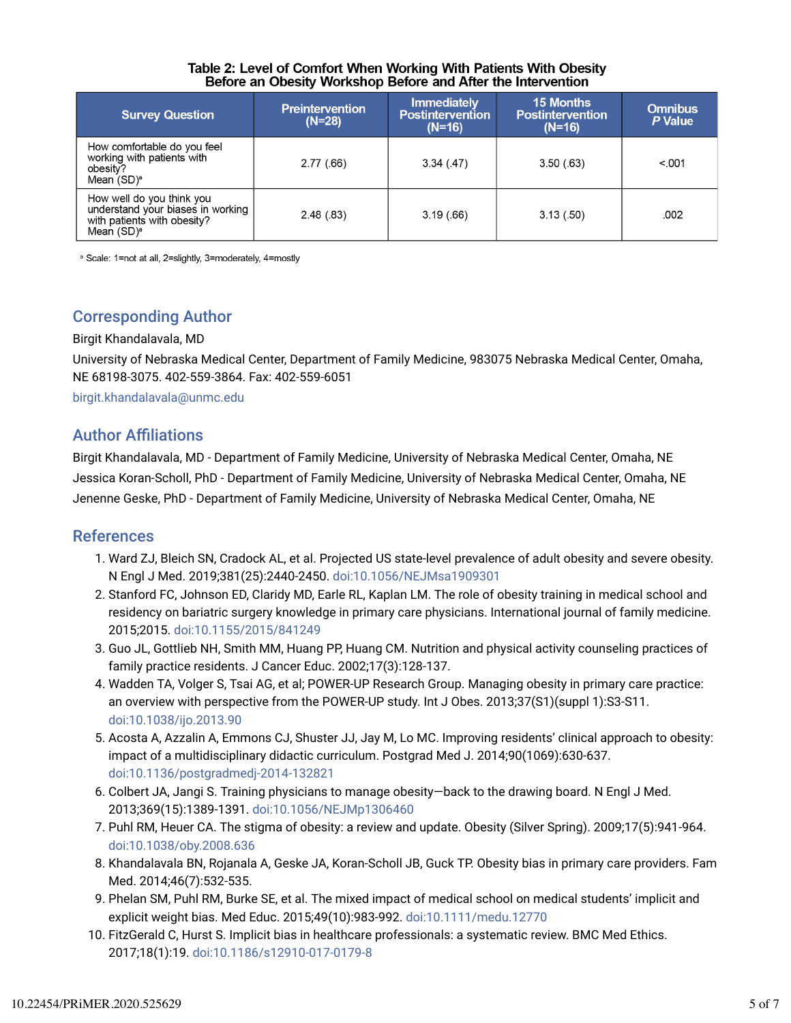#### Table 2: Level of Comfort When Working With Patients With Obesity Before an Obesity Workshop Before and After the Intervention

| <b>Survey Question</b>                                                                                         | <b>Preintervention</b><br>$(N=28)$ | <b>Immediately</b><br><b>Postintervention</b><br>$(N=16)$ | <b>15 Months</b><br><b>Postintervention</b><br>$(N=16)$ | <b>Omnibus</b><br>P Value |
|----------------------------------------------------------------------------------------------------------------|------------------------------------|-----------------------------------------------------------|---------------------------------------------------------|---------------------------|
| How comfortable do you feel<br>working with patients with<br>obesity?<br>Mean $(SD)^a$                         | 2.77(.66)                          | 3.34(.47)                                                 | 3.50(63)                                                | < 001                     |
| How well do you think you<br>understand your biases in working<br>with patients with obesity?<br>Mean $(SD)^a$ | 2.48(.83)                          | 3.19(.66)                                                 | 3.13(.50)                                               | .002                      |

<sup>a</sup> Scale: 1=not at all, 2=slightly, 3=moderately, 4=mostly

### Corresponding Author

#### Birgit Khandalavala, MD

University of Nebraska Medical Center, Department of Family Medicine, 983075 Nebraska Medical Center, Omaha, NE 68198-3075. 402-559-3864. Fax: 402-559-6051

birgit.khandalavala@unmc.edu

### **Author Affiliations**

Birgit Khandalavala, MD - Department of Family Medicine, University of Nebraska Medical Center, Omaha, NE Jessica Koran-Scholl, PhD - Department of Family Medicine, University of Nebraska Medical Center, Omaha, NE Jenenne Geske, PhD - Department of Family Medicine, University of Nebraska Medical Center, Omaha, NE

#### References

- 1. Ward ZJ, Bleich SN, Cradock AL, et al. Projected US state-level prevalence of adult obesity and severe obesity. N Engl J Med. 2019;381(25):2440-2450. doi:10.1056/NEJMsa1909301
- 2. Stanford FC, Johnson ED, Claridy MD, Earle RL, Kaplan LM. The role of obesity training in medical school and residency on bariatric surgery knowledge in primary care physicians. International journal of family medicine. 2015;2015. doi:10.1155/2015/841249
- 3. Guo JL, Gottlieb NH, Smith MM, Huang PP, Huang CM. Nutrition and physical activity counseling practices of family practice residents. J Cancer Educ. 2002;17(3):128-137.
- 4. Wadden TA, Volger S, Tsai AG, et al; POWER-UP Research Group. Managing obesity in primary care practice: an overview with perspective from the POWER-UP study. Int J Obes. 2013;37(S1)(suppl 1):S3-S11. doi:10.1038/ijo.2013.90
- 5. Acosta A, Azzalin A, Emmons CJ, Shuster JJ, Jay M, Lo MC. Improving residents' clinical approach to obesity: impact of a multidisciplinary didactic curriculum. Postgrad Med J. 2014;90(1069):630-637. doi:10.1136/postgradmedj-2014-132821
- 6. Colbert JA, Jangi S. Training physicians to manage obesity—back to the drawing board. N Engl J Med. 2013;369(15):1389-1391. doi:10.1056/NEJMp1306460
- 7. Puhl RM, Heuer CA. The stigma of obesity: a review and update. Obesity (Silver Spring). 2009;17(5):941-964. doi:10.1038/oby.2008.636
- 8. Khandalavala BN, Rojanala A, Geske JA, Koran-Scholl JB, Guck TP. Obesity bias in primary care providers. Fam Med. 2014;46(7):532-535.
- 9. Phelan SM, Puhl RM, Burke SE, et al. The mixed impact of medical school on medical students' implicit and explicit weight bias. Med Educ. 2015;49(10):983-992. doi:10.1111/medu.12770
- 10. FitzGerald C, Hurst S. Implicit bias in healthcare professionals: a systematic review. BMC Med Ethics. 2017;18(1):19. doi:10.1186/s12910-017-0179-8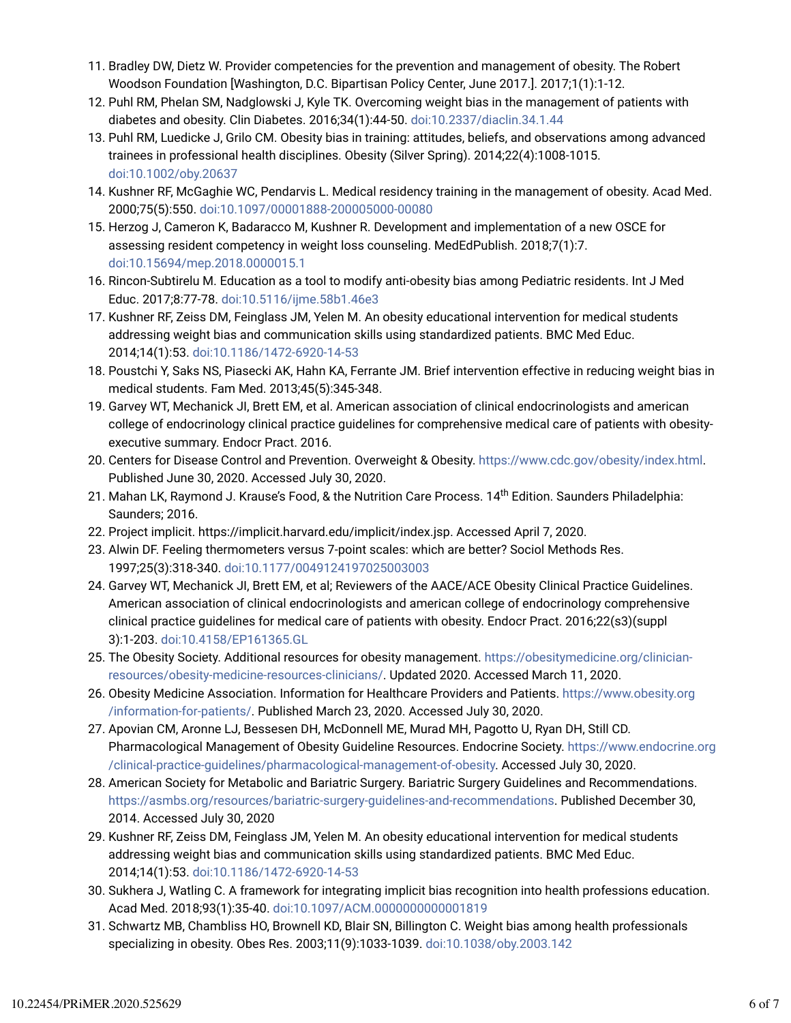- 11. Bradley DW, Dietz W. Provider competencies for the prevention and management of obesity. The Robert Woodson Foundation [Washington, D.C. Bipartisan Policy Center, June 2017.]. 2017;1(1):1-12.
- 12. Puhl RM, Phelan SM, Nadglowski J, Kyle TK. Overcoming weight bias in the management of patients with diabetes and obesity. Clin Diabetes. 2016;34(1):44-50. doi:10.2337/diaclin.34.1.44
- 13. Puhl RM, Luedicke J, Grilo CM. Obesity bias in training: attitudes, beliefs, and observations among advanced trainees in professional health disciplines. Obesity (Silver Spring). 2014;22(4):1008-1015. doi:10.1002/oby.20637
- 14. Kushner RF, McGaghie WC, Pendarvis L. Medical residency training in the management of obesity. Acad Med. 2000;75(5):550. doi:10.1097/00001888-200005000-00080
- 15. Herzog J, Cameron K, Badaracco M, Kushner R. Development and implementation of a new OSCE for assessing resident competency in weight loss counseling. MedEdPublish. 2018;7(1):7. doi:10.15694/mep.2018.0000015.1
- 16. Rincon-Subtirelu M. Education as a tool to modify anti-obesity bias among Pediatric residents. Int J Med Educ. 2017;8:77-78. doi:10.5116/ijme.58b1.46e3
- 17. Kushner RF, Zeiss DM, Feinglass JM, Yelen M. An obesity educational intervention for medical students addressing weight bias and communication skills using standardized patients. BMC Med Educ. 2014;14(1):53. doi:10.1186/1472-6920-14-53
- 18. Poustchi Y, Saks NS, Piasecki AK, Hahn KA, Ferrante JM. Brief intervention effective in reducing weight bias in medical students. Fam Med. 2013;45(5):345-348.
- 19. Garvey WT, Mechanick JI, Brett EM, et al. American association of clinical endocrinologists and american college of endocrinology clinical practice guidelines for comprehensive medical care of patients with obesityexecutive summary. Endocr Pract. 2016.
- 20. Centers for Disease Control and Prevention. Overweight & Obesity. https://www.cdc.gov/obesity/index.html. Published June 30, 2020. Accessed July 30, 2020.
- 21. Mahan LK, Raymond J. Krause's Food, & the Nutrition Care Process. 14<sup>th</sup> Edition. Saunders Philadelphia: Saunders; 2016.
- 22. Project implicit. https://implicit.harvard.edu/implicit/index.jsp. Accessed April 7, 2020.
- 23. Alwin DF. Feeling thermometers versus 7-point scales: which are better? Sociol Methods Res. 1997;25(3):318-340. doi:10.1177/0049124197025003003
- 24. Garvey WT, Mechanick JI, Brett EM, et al; Reviewers of the AACE/ACE Obesity Clinical Practice Guidelines. American association of clinical endocrinologists and american college of endocrinology comprehensive clinical practice guidelines for medical care of patients with obesity. Endocr Pract. 2016;22(s3)(suppl 3):1-203. doi:10.4158/EP161365.GL
- 25. The Obesity Society. Additional resources for obesity management. https://obesitymedicine.org/clinicianresources/obesity-medicine-resources-clinicians/. Updated 2020. Accessed March 11, 2020.
- 26. Obesity Medicine Association. Information for Healthcare Providers and Patients. https://www.obesity.org /information-for-patients/. Published March 23, 2020. Accessed July 30, 2020.
- 27. Apovian CM, Aronne LJ, Bessesen DH, McDonnell ME, Murad MH, Pagotto U, Ryan DH, Still CD. Pharmacological Management of Obesity Guideline Resources. Endocrine Society. https://www.endocrine.org /clinical-practice-guidelines/pharmacological-management-of-obesity. Accessed July 30, 2020.
- 28. American Society for Metabolic and Bariatric Surgery. Bariatric Surgery Guidelines and Recommendations. https://asmbs.org/resources/bariatric-surgery-guidelines-and-recommendations. Published December 30, 2014. Accessed July 30, 2020
- 29. Kushner RF, Zeiss DM, Feinglass JM, Yelen M. An obesity educational intervention for medical students addressing weight bias and communication skills using standardized patients. BMC Med Educ. 2014;14(1):53. doi:10.1186/1472-6920-14-53
- 30. Sukhera J, Watling C. A framework for integrating implicit bias recognition into health professions education. Acad Med. 2018;93(1):35-40. doi:10.1097/ACM.0000000000001819
- 31. Schwartz MB, Chambliss HO, Brownell KD, Blair SN, Billington C. Weight bias among health professionals specializing in obesity. Obes Res. 2003;11(9):1033-1039. doi:10.1038/oby.2003.142